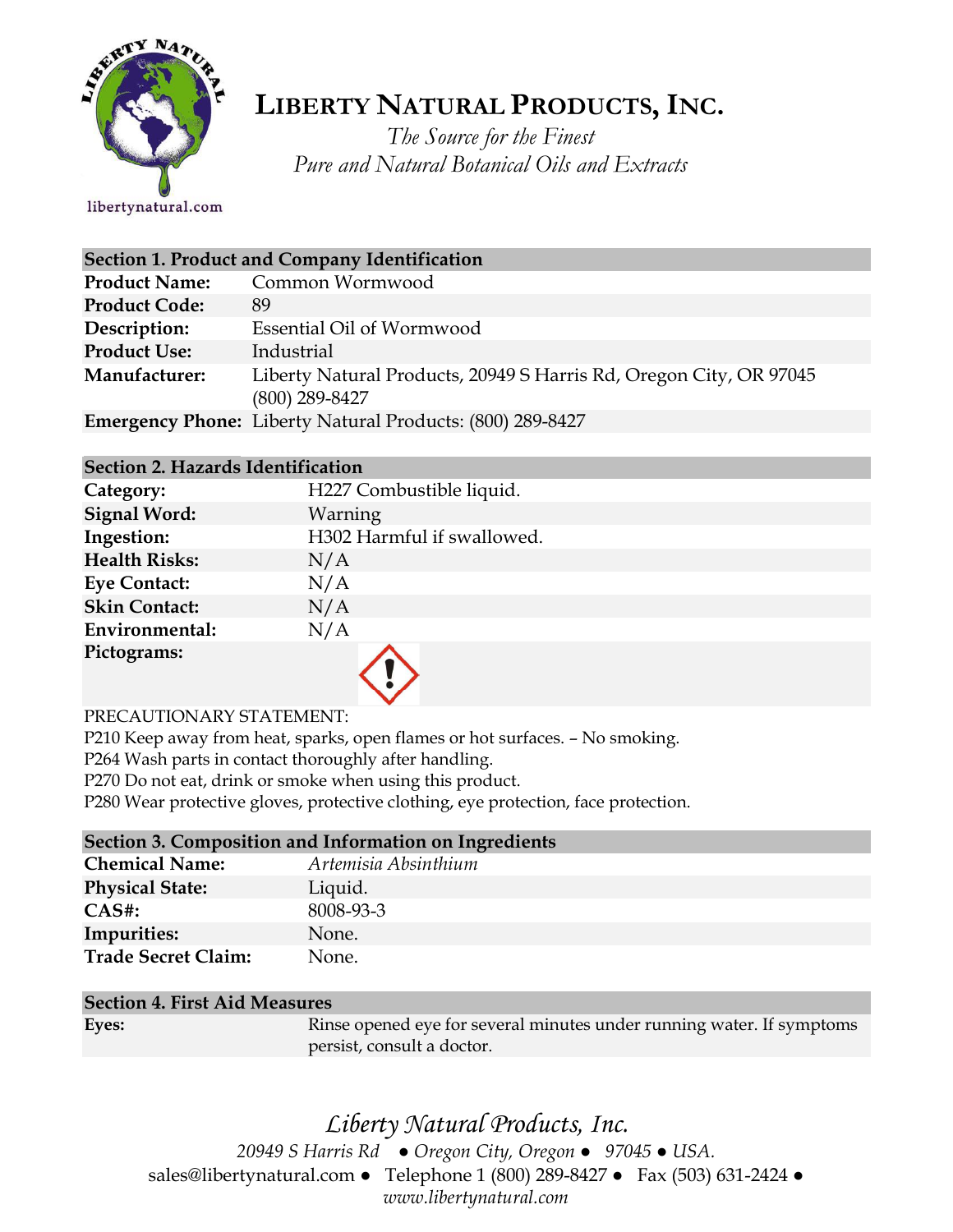

# **LIBERTY NATURAL PRODUCTS,INC.**

*The Source for the Finest Pure and Natural Botanical Oils and Extracts*

### libertynatural.com

| Section 1. Product and Company Identification |                                                                                        |  |
|-----------------------------------------------|----------------------------------------------------------------------------------------|--|
| <b>Product Name:</b>                          | Common Wormwood                                                                        |  |
| <b>Product Code:</b>                          | 89                                                                                     |  |
| Description:                                  | Essential Oil of Wormwood                                                              |  |
| <b>Product Use:</b>                           | Industrial                                                                             |  |
| Manufacturer:                                 | Liberty Natural Products, 20949 S Harris Rd, Oregon City, OR 97045<br>$(800)$ 289-8427 |  |
|                                               | <b>Emergency Phone:</b> Liberty Natural Products: (800) 289-8427                       |  |

### **Section 2. Hazards Identification**

| Category:            | H227 Combustible liquid.   |
|----------------------|----------------------------|
| <b>Signal Word:</b>  | Warning                    |
| Ingestion:           | H302 Harmful if swallowed. |
| <b>Health Risks:</b> | N/A                        |
| <b>Eye Contact:</b>  | N/A                        |
| <b>Skin Contact:</b> | N/A                        |
| Environmental:       | N/A                        |
| Pictograms:          |                            |

### PRECAUTIONARY STATEMENT:

P210 Keep away from heat, sparks, open flames or hot surfaces. – No smoking.

P264 Wash parts in contact thoroughly after handling.

P270 Do not eat, drink or smoke when using this product.

P280 Wear protective gloves, protective clothing, eye protection, face protection.

| Section 3. Composition and Information on Ingredients |                      |
|-------------------------------------------------------|----------------------|
| <b>Chemical Name:</b>                                 | Artemisia Absinthium |
| <b>Physical State:</b>                                | Liquid.              |
| $CAS#$ :                                              | 8008-93-3            |
| <b>Impurities:</b>                                    | None.                |
| <b>Trade Secret Claim:</b>                            | None.                |

### **Section 4. First Aid Measures**

| Eyes: | Rinse opened eye for several minutes under running water. If symptoms |
|-------|-----------------------------------------------------------------------|
|       | persist, consult a doctor.                                            |
|       |                                                                       |

## *Liberty Natural Products, Inc.*

*20949 S Harris Rd ● Oregon City, Oregon ● 97045 ● USA.*  sales@libertynatural.com *●* Telephone 1 (800) 289-8427 ● Fax (503) 631-2424 *● www.libertynatural.com*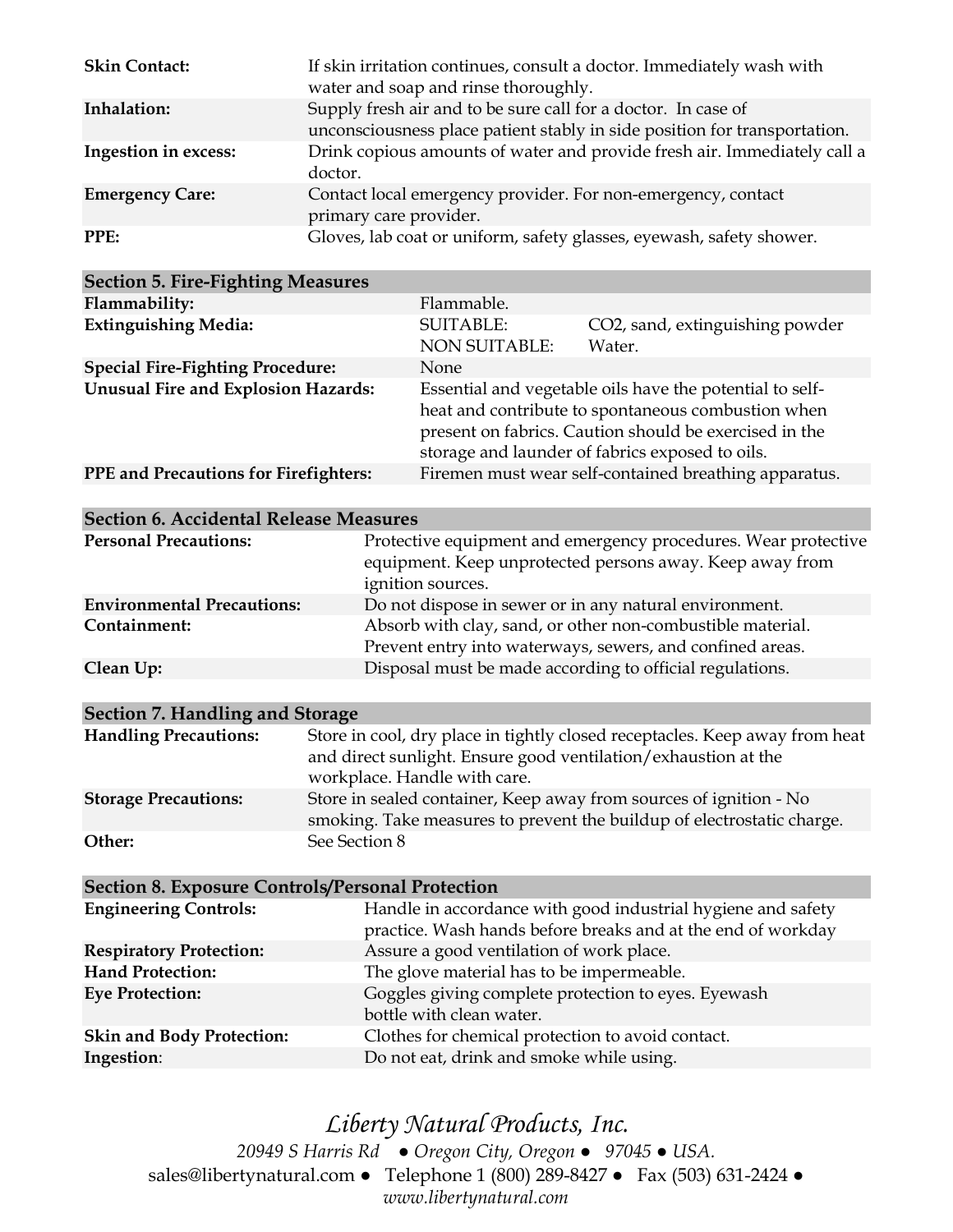| <b>Skin Contact:</b>   | If skin irritation continues, consult a doctor. Immediately wash with<br>water and soap and rinse thoroughly.                              |
|------------------------|--------------------------------------------------------------------------------------------------------------------------------------------|
| Inhalation:            | Supply fresh air and to be sure call for a doctor. In case of<br>unconsciousness place patient stably in side position for transportation. |
| Ingestion in excess:   | Drink copious amounts of water and provide fresh air. Immediately call a<br>doctor.                                                        |
| <b>Emergency Care:</b> | Contact local emergency provider. For non-emergency, contact<br>primary care provider.                                                     |
| PPE:                   | Gloves, lab coat or uniform, safety glasses, eyewash, safety shower.                                                                       |

| <b>Section 5. Fire-Fighting Measures</b>   |                                          |                                                                                                                                                                                                                             |
|--------------------------------------------|------------------------------------------|-----------------------------------------------------------------------------------------------------------------------------------------------------------------------------------------------------------------------------|
| Flammability:                              | Flammable.                               |                                                                                                                                                                                                                             |
| <b>Extinguishing Media:</b>                | <b>SUITABLE:</b><br><b>NON SUITABLE:</b> | CO2, sand, extinguishing powder<br>Water.                                                                                                                                                                                   |
| <b>Special Fire-Fighting Procedure:</b>    | <b>None</b>                              |                                                                                                                                                                                                                             |
| <b>Unusual Fire and Explosion Hazards:</b> |                                          | Essential and vegetable oils have the potential to self-<br>heat and contribute to spontaneous combustion when<br>present on fabrics. Caution should be exercised in the<br>storage and launder of fabrics exposed to oils. |
| PPE and Precautions for Firefighters:      |                                          | Firemen must wear self-contained breathing apparatus.                                                                                                                                                                       |
|                                            |                                          |                                                                                                                                                                                                                             |

| <b>Section 6. Accidental Release Measures</b> |                                                                                                                                                 |  |
|-----------------------------------------------|-------------------------------------------------------------------------------------------------------------------------------------------------|--|
| <b>Personal Precautions:</b>                  | Protective equipment and emergency procedures. Wear protective<br>equipment. Keep unprotected persons away. Keep away from<br>ignition sources. |  |
| <b>Environmental Precautions:</b>             | Do not dispose in sewer or in any natural environment.                                                                                          |  |
| Containment:                                  | Absorb with clay, sand, or other non-combustible material.<br>Prevent entry into waterways, sewers, and confined areas.                         |  |
| Clean Up:                                     | Disposal must be made according to official regulations.                                                                                        |  |

| Section 7. Handling and Storage |                                                                                                                                                                               |  |
|---------------------------------|-------------------------------------------------------------------------------------------------------------------------------------------------------------------------------|--|
| <b>Handling Precautions:</b>    | Store in cool, dry place in tightly closed receptacles. Keep away from heat<br>and direct sunlight. Ensure good ventilation/exhaustion at the<br>workplace. Handle with care. |  |
| <b>Storage Precautions:</b>     | Store in sealed container, Keep away from sources of ignition - No<br>smoking. Take measures to prevent the buildup of electrostatic charge.                                  |  |
| Other:                          | See Section 8                                                                                                                                                                 |  |

| <b>Section 8. Exposure Controls/Personal Protection</b>                                                                      |  |  |
|------------------------------------------------------------------------------------------------------------------------------|--|--|
| Handle in accordance with good industrial hygiene and safety<br>practice. Wash hands before breaks and at the end of workday |  |  |
| Assure a good ventilation of work place.                                                                                     |  |  |
| The glove material has to be impermeable.                                                                                    |  |  |
| Goggles giving complete protection to eyes. Eyewash<br>bottle with clean water.                                              |  |  |
| Clothes for chemical protection to avoid contact.                                                                            |  |  |
| Do not eat, drink and smoke while using.                                                                                     |  |  |
|                                                                                                                              |  |  |

*Liberty Natural Products, Inc. 20949 S Harris Rd ● Oregon City, Oregon ● 97045 ● USA.*  sales@libertynatural.com *●* Telephone 1 (800) 289-8427 ● Fax (503) 631-2424 *● www.libertynatural.com*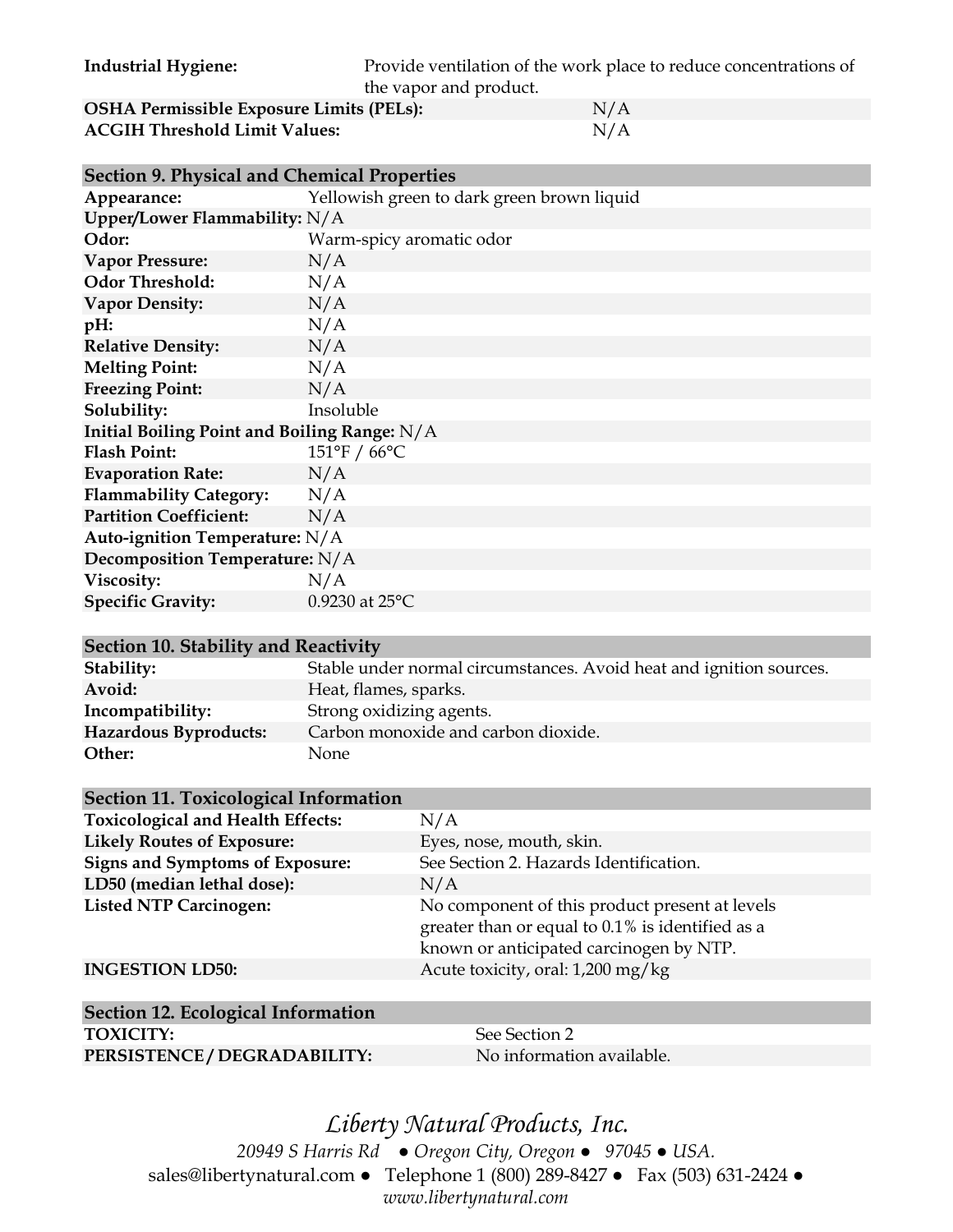**Industrial Hygiene:** Provide ventilation of the work place to reduce concentrations of the vapor and product.

| <b>OSHA Permissible Exposure Limits (PELs):</b> | N/A |
|-------------------------------------------------|-----|
| <b>ACGIH Threshold Limit Values:</b>            | N/A |

| <b>Section 9. Physical and Chemical Properties</b> |                                            |  |
|----------------------------------------------------|--------------------------------------------|--|
| Appearance:                                        | Yellowish green to dark green brown liquid |  |
| Upper/Lower Flammability: $N/A$                    |                                            |  |
| Odor:                                              | Warm-spicy aromatic odor                   |  |
| <b>Vapor Pressure:</b>                             | N/A                                        |  |
| <b>Odor Threshold:</b>                             | N/A                                        |  |
| <b>Vapor Density:</b>                              | N/A                                        |  |
| pH:                                                | N/A                                        |  |
| <b>Relative Density:</b>                           | N/A                                        |  |
| <b>Melting Point:</b>                              | N/A                                        |  |
| <b>Freezing Point:</b>                             | N/A                                        |  |
| Solubility:                                        | Insoluble                                  |  |
| Initial Boiling Point and Boiling Range: N/A       |                                            |  |
| <b>Flash Point:</b>                                | 151°F / 66°C                               |  |
| <b>Evaporation Rate:</b>                           | N/A                                        |  |
| <b>Flammability Category:</b>                      | N/A                                        |  |
| <b>Partition Coefficient:</b>                      | N/A                                        |  |
| Auto-ignition Temperature: N/A                     |                                            |  |
| Decomposition Temperature: N/A                     |                                            |  |
| Viscosity:                                         | N/A                                        |  |
| <b>Specific Gravity:</b>                           | 0.9230 at 25°C                             |  |

#### **Section 10. Stability and Reactivity**

| Stability:            | Stable under normal circumstances. Avoid heat and ignition sources. |
|-----------------------|---------------------------------------------------------------------|
| Avoid:                | Heat, flames, sparks.                                               |
| Incompatibility:      | Strong oxidizing agents.                                            |
| Hazardous Byproducts: | Carbon monoxide and carbon dioxide.                                 |
| Other:                | None                                                                |
|                       |                                                                     |

### **Section 11. Toxicological Information**

| <b>Toxicological and Health Effects:</b> | N/A                                                                                                                                           |
|------------------------------------------|-----------------------------------------------------------------------------------------------------------------------------------------------|
| <b>Likely Routes of Exposure:</b>        | Eyes, nose, mouth, skin.                                                                                                                      |
| <b>Signs and Symptoms of Exposure:</b>   | See Section 2. Hazards Identification.                                                                                                        |
| LD50 (median lethal dose):               | N/A                                                                                                                                           |
| <b>Listed NTP Carcinogen:</b>            | No component of this product present at levels<br>greater than or equal to 0.1% is identified as a<br>known or anticipated carcinogen by NTP. |
| <b>INGESTION LD50:</b>                   | Acute toxicity, oral: 1,200 mg/kg                                                                                                             |

## **Section 12. Ecological Information TOXICITY:** See Section 2

PERSISTENCE / DEGRADABILITY: No information available.

### *Liberty Natural Products, Inc. 20949 S Harris Rd ● Oregon City, Oregon ● 97045 ● USA.*  sales@libertynatural.com *●* Telephone 1 (800) 289-8427 ● Fax (503) 631-2424 *● www.libertynatural.com*